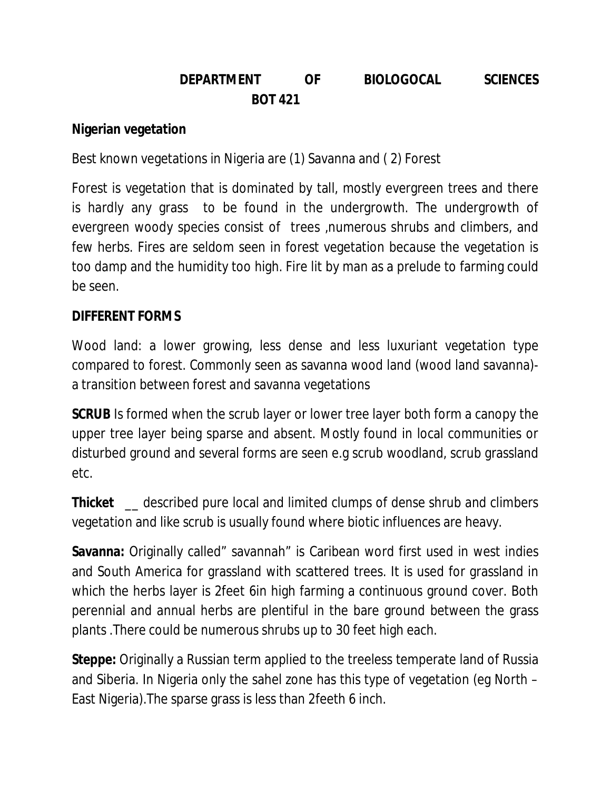# **DEPARTMENT OF BIOLOGOCAL SCIENCES BOT 421**

## **Nigerian vegetation**

Best known vegetations in Nigeria are (1) Savanna and ( 2) Forest

Forest is vegetation that is dominated by tall, mostly evergreen trees and there is hardly any grass to be found in the undergrowth. The undergrowth of evergreen woody species consist of trees ,numerous shrubs and climbers, and few herbs. Fires are seldom seen in forest vegetation because the vegetation is too damp and the humidity too high. Fire lit by man as a prelude to farming could be seen.

# **DIFFERENT FORMS**

Wood land: a lower growing, less dense and less luxuriant vegetation type compared to forest. Commonly seen as savanna wood land (wood land savanna) a transition between forest and savanna vegetations

**SCRUB** Is formed when the scrub layer or lower tree layer both form a canopy the upper tree layer being sparse and absent. Mostly found in local communities or disturbed ground and several forms are seen e.g scrub woodland, scrub grassland etc.

**Thicket** \_\_ described pure local and limited clumps of dense shrub and climbers vegetation and like scrub is usually found where biotic influences are heavy.

**Savanna:** Originally called" savannah" is Caribean word first used in west indies and South America for grassland with scattered trees. It is used for grassland in which the herbs layer is 2feet 6in high farming a continuous ground cover. Both perennial and annual herbs are plentiful in the bare ground between the grass plants .There could be numerous shrubs up to 30 feet high each.

**Steppe:** Originally a Russian term applied to the treeless temperate land of Russia and Siberia. In Nigeria only the sahel zone has this type of vegetation (eg North – East Nigeria).The sparse grass is less than 2feeth 6 inch.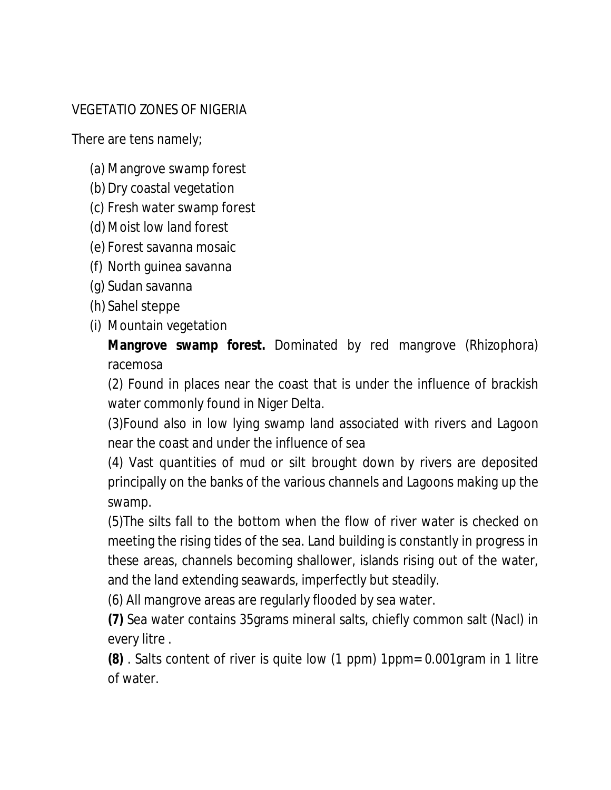# VEGETATIO ZONES OF NIGERIA

There are tens namely;

- (a) Mangrove swamp forest
- (b) Dry coastal vegetation
- (c) Fresh water swamp forest
- (d) Moist low land forest
- (e) Forest savanna mosaic
- (f) North guinea savanna
- (g) Sudan savanna
- (h) Sahel steppe
- (i) Mountain vegetation

**Mangrove swamp forest.** Dominated by red mangrove (Rhizophora) racemosa

(2) Found in places near the coast that is under the influence of brackish water commonly found in Niger Delta.

(3)Found also in low lying swamp land associated with rivers and Lagoon near the coast and under the influence of sea

(4) Vast quantities of mud or silt brought down by rivers are deposited principally on the banks of the various channels and Lagoons making up the swamp.

(5)The silts fall to the bottom when the flow of river water is checked on meeting the rising tides of the sea. Land building is constantly in progress in these areas, channels becoming shallower, islands rising out of the water, and the land extending seawards, imperfectly but steadily.

(6) All mangrove areas are regularly flooded by sea water.

**(7)** Sea water contains 35grams mineral salts, chiefly common salt (Nacl) in every litre .

**(8)** . Salts content of river is quite low (1 ppm) 1ppm= 0.001gram in 1 litre of water.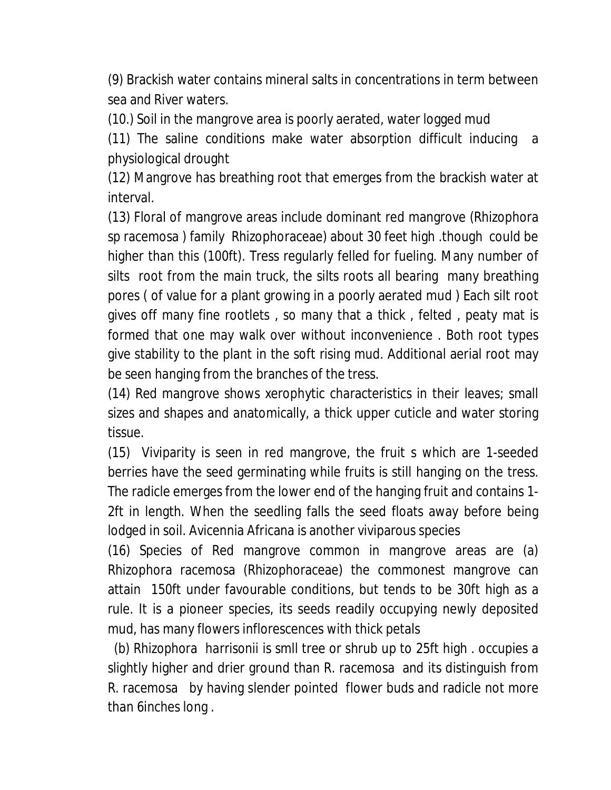(9) Brackish water contains mineral salts in concentrations in term between sea and River waters.

(10.) Soil in the mangrove area is poorly aerated, water logged mud

(11) The saline conditions make water absorption difficult inducing a physiological drought

(12) Mangrove has breathing root that emerges from the brackish water at interval.

(13) Floral of mangrove areas include dominant red mangrove (Rhizophora sp racemosa ) family Rhizophoraceae) about 30 feet high .though could be higher than this (100ft). Tress regularly felled for fueling. Many number of silts root from the main truck, the silts roots all bearing many breathing pores ( of value for a plant growing in a poorly aerated mud ) Each silt root gives off many fine rootlets , so many that a thick , felted , peaty mat is formed that one may walk over without inconvenience . Both root types give stability to the plant in the soft rising mud. Additional aerial root may be seen hanging from the branches of the tress.

(14) Red mangrove shows xerophytic characteristics in their leaves; small sizes and shapes and anatomically, a thick upper cuticle and water storing tissue.

(15) Viviparity is seen in red mangrove, the fruit s which are 1-seeded berries have the seed germinating while fruits is still hanging on the tress. The radicle emerges from the lower end of the hanging fruit and contains 1- 2ft in length. When the seedling falls the seed floats away before being lodged in soil. Avicennia Africana is another viviparous species

(16) Species of Red mangrove common in mangrove areas are (a) Rhizophora racemosa (Rhizophoraceae) the commonest mangrove can attain 150ft under favourable conditions, but tends to be 30ft high as a rule. It is a pioneer species, its seeds readily occupying newly deposited mud, has many flowers inflorescences with thick petals

 (b) *Rhizophora harrisonii* is smll tree or shrub up to 25ft high . occupies a slightly higher and drier ground than R. racemosa and its distinguish from R. racemosa by having slender pointed flower buds and radicle not more than 6inches long .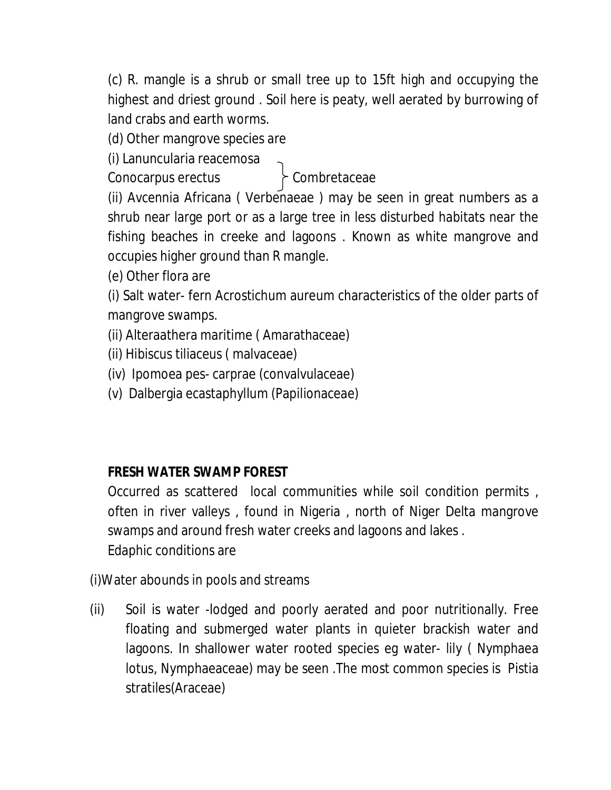(c) R. mangle is a shrub or small tree up to 15ft high and occupying the highest and driest ground . Soil here is peaty, well aerated by burrowing of land crabs and earth worms.

(d) Other mangrove species are

(i) Lanuncularia reacemosa

Conocarpus erectus Combretaceae

(ii) Avcennia Africana ( Verbenaeae ) may be seen in great numbers as a shrub near large port or as a large tree in less disturbed habitats near the fishing beaches in creeke and lagoons . Known as white mangrove and occupies higher ground than R mangle.

(e) Other flora are

(i) Salt water- fern Acrostichum aureum characteristics of the older parts of mangrove swamps.

(ii) Alteraathera maritime ( Amarathaceae)

(ii) Hibiscus tiliaceus ( malvaceae)

(iv) Ipomoea pes- carprae (convalvulaceae)

(v) Dalbergia ecastaphyllum (Papilionaceae)

# **FRESH WATER SWAMP FOREST**

Occurred as scattered local communities while soil condition permits , often in river valleys , found in Nigeria , north of Niger Delta mangrove swamps and around fresh water creeks and lagoons and lakes . Edaphic conditions are

(i)Water abounds in pools and streams

(ii) Soil is water -lodged and poorly aerated and poor nutritionally. Free floating and submerged water plants in quieter brackish water and lagoons. In shallower water rooted species eg water- lily ( Nymphaea lotus, Nymphaeaceae) may be seen .The most common species is Pistia stratiles(Araceae)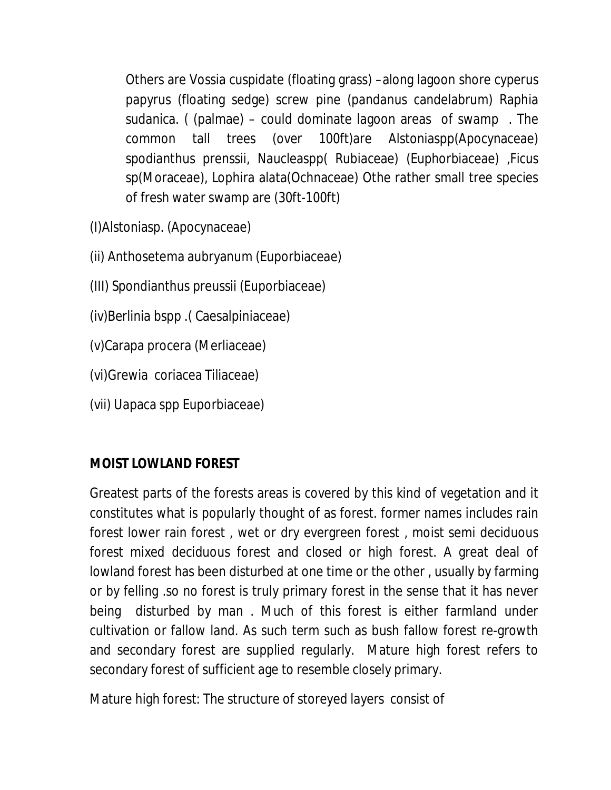Others are Vossia cuspidate (floating grass) –along lagoon shore cyperus papyrus (floating sedge) screw pine (pandanus candelabrum) Raphia sudanica. ( (palmae) – could dominate lagoon areas of swamp . The common tall trees (over 100ft)are Alstoniaspp(Apocynaceae) spodianthus prenssii, Naucleaspp( Rubiaceae) (Euphorbiaceae) ,Ficus sp(Moraceae), Lophira alata(Ochnaceae) Othe rather small tree species of fresh water swamp are (30ft-100ft)

- (I)Alstoniasp. (Apocynaceae)
- (ii) Anthosetema aubryanum (Euporbiaceae)
- (III) Spondianthus preussii (Euporbiaceae)
- (iv)Berlinia bspp .( Caesalpiniaceae)
- (v)Carapa procera (Merliaceae)
- (vi)Grewia coriacea Tiliaceae)
- (vii) Uapaca spp Euporbiaceae)

# **MOIST LOWLAND FOREST**

Greatest parts of the forests areas is covered by this kind of vegetation and it constitutes what is popularly thought of as forest. former names includes rain forest lower rain forest , wet or dry evergreen forest , moist semi deciduous forest mixed deciduous forest and closed or high forest. A great deal of lowland forest has been disturbed at one time or the other , usually by farming or by felling .so no forest is truly primary forest in the sense that it has never being disturbed by man . Much of this forest is either farmland under cultivation or fallow land. As such term such as bush fallow forest re-growth and secondary forest are supplied regularly. Mature high forest refers to secondary forest of sufficient age to resemble closely primary.

Mature high forest: The structure of storeyed layers consist of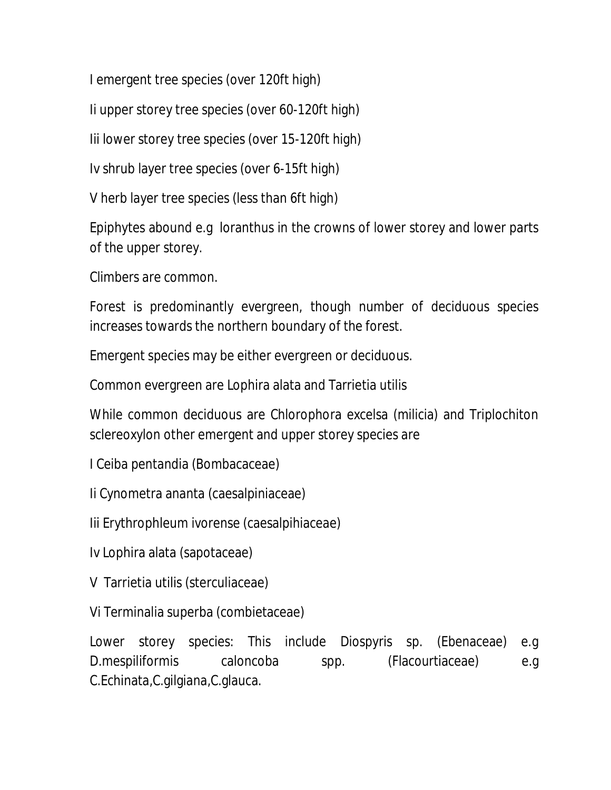I emergent tree species (over 120ft high)

Ii upper storey tree species (over 60-120ft high)

Iii lower storey tree species (over 15-120ft high)

Iv shrub layer tree species (over 6-15ft high)

V herb layer tree species (less than 6ft high)

Epiphytes abound e.g loranthus in the crowns of lower storey and lower parts of the upper storey.

Climbers are common.

Forest is predominantly evergreen, though number of deciduous species increases towards the northern boundary of the forest.

Emergent species may be either evergreen or deciduous.

Common evergreen are Lophira alata and Tarrietia utilis

While common deciduous are Chlorophora excelsa (milicia) and Triplochiton sclereoxylon other emergent and upper storey species are

I Ceiba pentandia (Bombacaceae)

Ii Cynometra ananta (caesalpiniaceae)

Iii Erythrophleum ivorense (caesalpihiaceae)

Iv Lophira alata (sapotaceae)

V Tarrietia utilis (sterculiaceae)

Vi Terminalia superba (combietaceae)

Lower storey species: This include Diospyris sp. (Ebenaceae) e.g D.mespiliformis caloncoba spp. (Flacourtiaceae) e.g C.Echinata,C.gilgiana,C.glauca.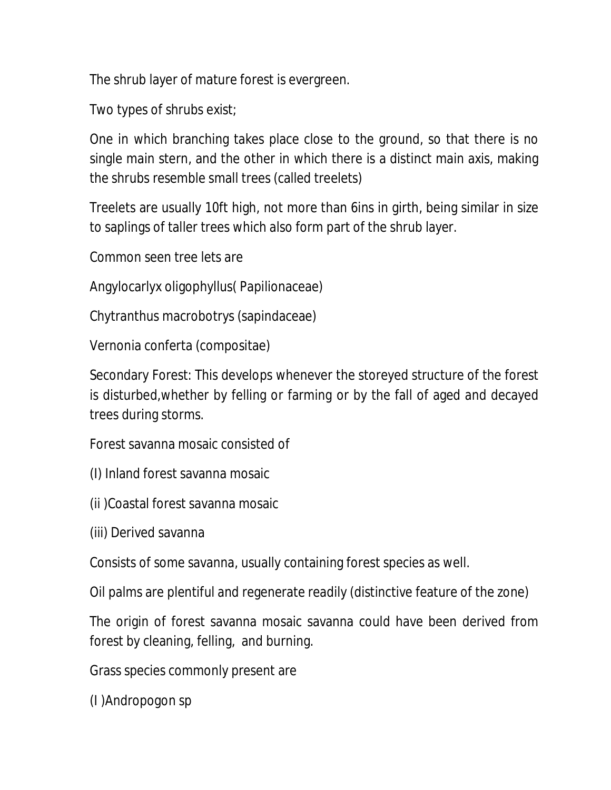The shrub layer of mature forest is evergreen.

Two types of shrubs exist;

One in which branching takes place close to the ground, so that there is no single main stern, and the other in which there is a distinct main axis, making the shrubs resemble small trees (called treelets)

Treelets are usually 10ft high, not more than 6ins in girth, being similar in size to saplings of taller trees which also form part of the shrub layer.

Common seen tree lets are

Angylocarlyx oligophyllus( Papilionaceae)

Chytranthus macrobotrys (sapindaceae)

Vernonia conferta (compositae)

Secondary Forest: This develops whenever the storeyed structure of the forest is disturbed,whether by felling or farming or by the fall of aged and decayed trees during storms.

Forest savanna mosaic consisted of

- (I) Inland forest savanna mosaic
- (ii )Coastal forest savanna mosaic
- (iii) Derived savanna

Consists of some savanna, usually containing forest species as well.

Oil palms are plentiful and regenerate readily (distinctive feature of the zone)

The origin of forest savanna mosaic savanna could have been derived from forest by cleaning, felling, and burning.

Grass species commonly present are

(I )Andropogon sp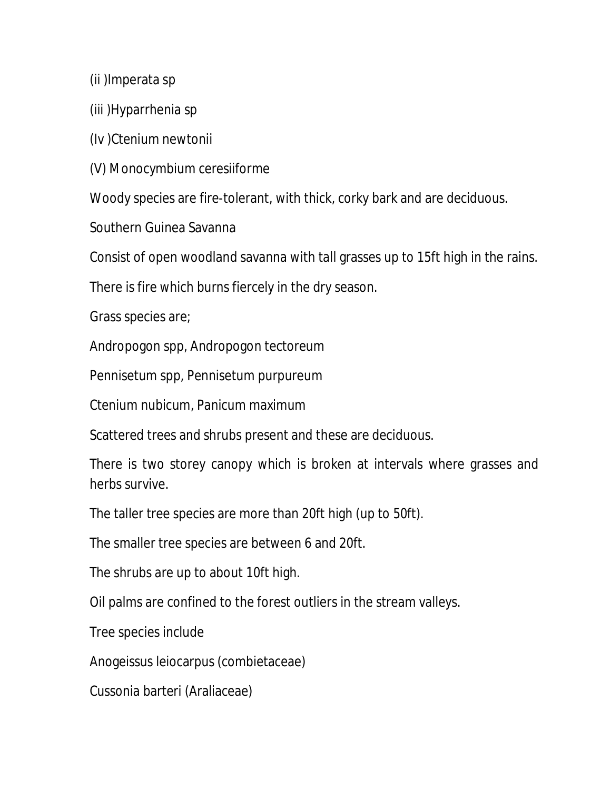(ii )Imperata sp

(iii )Hyparrhenia sp

(Iv )Ctenium newtonii

(V) Monocymbium ceresiiforme

Woody species are fire-tolerant, with thick, corky bark and are deciduous.

Southern Guinea Savanna

Consist of open woodland savanna with tall grasses up to 15ft high in the rains.

There is fire which burns fiercely in the dry season.

Grass species are;

Andropogon spp, Andropogon tectoreum

Pennisetum spp, Pennisetum purpureum

Ctenium nubicum, Panicum maximum

Scattered trees and shrubs present and these are deciduous.

There is two storey canopy which is broken at intervals where grasses and herbs survive.

The taller tree species are more than 20ft high (up to 50ft).

The smaller tree species are between 6 and 20ft.

The shrubs are up to about 10ft high.

Oil palms are confined to the forest outliers in the stream valleys.

Tree species include

Anogeissus leiocarpus (combietaceae)

Cussonia barteri (Araliaceae)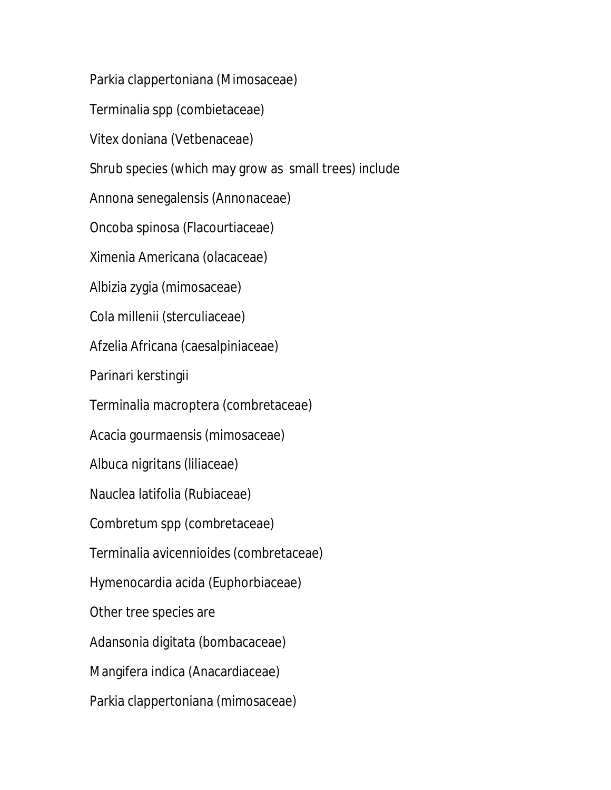Parkia clappertoniana (Mimosaceae)

Terminalia spp (combietaceae)

Vitex doniana (Vetbenaceae)

Shrub species (which may grow as small trees) include

Annona senegalensis (Annonaceae)

Oncoba spinosa (Flacourtiaceae)

Ximenia Americana (olacaceae)

Albizia zygia (mimosaceae)

Cola millenii (sterculiaceae)

Afzelia Africana (caesalpiniaceae)

Parinari kerstingii

Terminalia macroptera (combretaceae)

Acacia gourmaensis (mimosaceae)

Albuca nigritans (liliaceae)

Nauclea latifolia (Rubiaceae)

Combretum spp (combretaceae)

Terminalia avicennioides (combretaceae)

Hymenocardia acida (Euphorbiaceae)

Other tree species are

Adansonia digitata (bombacaceae)

Mangifera indica (Anacardiaceae)

Parkia clappertoniana (mimosaceae)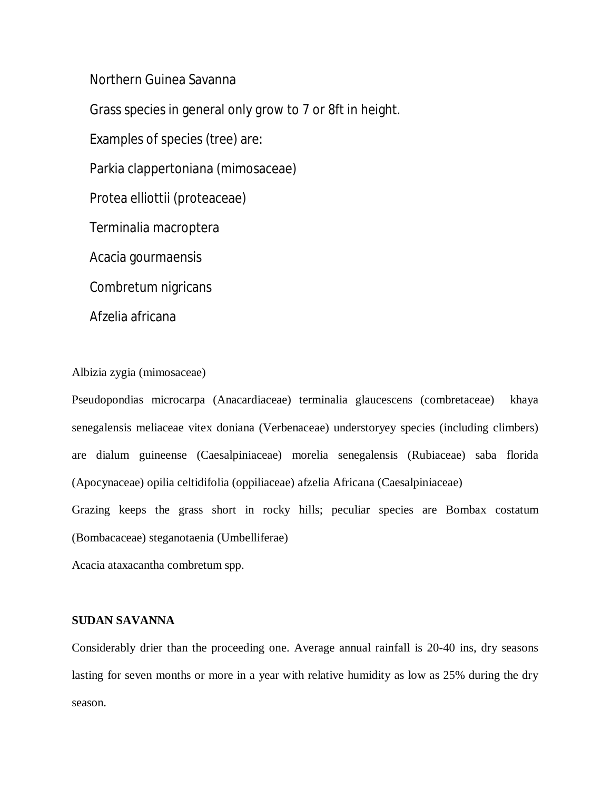Northern Guinea Savanna

Grass species in general only grow to 7 or 8ft in height.

Examples of species (tree) are:

Parkia clappertoniana (mimosaceae)

Protea elliottii (proteaceae)

Terminalia macroptera

Acacia gourmaensis

Combretum nigricans

Afzelia africana

Albizia zygia (mimosaceae)

Pseudopondias microcarpa (Anacardiaceae) terminalia glaucescens (combretaceae) khaya senegalensis meliaceae vitex doniana (Verbenaceae) understoryey species (including climbers) are dialum guineense (Caesalpiniaceae) morelia senegalensis (Rubiaceae) saba florida (Apocynaceae) opilia celtidifolia (oppiliaceae) afzelia Africana (Caesalpiniaceae)

Grazing keeps the grass short in rocky hills; peculiar species are Bombax costatum (Bombacaceae) steganotaenia (Umbelliferae)

Acacia ataxacantha combretum spp.

## **SUDAN SAVANNA**

Considerably drier than the proceeding one. Average annual rainfall is 20-40 ins, dry seasons lasting for seven months or more in a year with relative humidity as low as 25% during the dry season.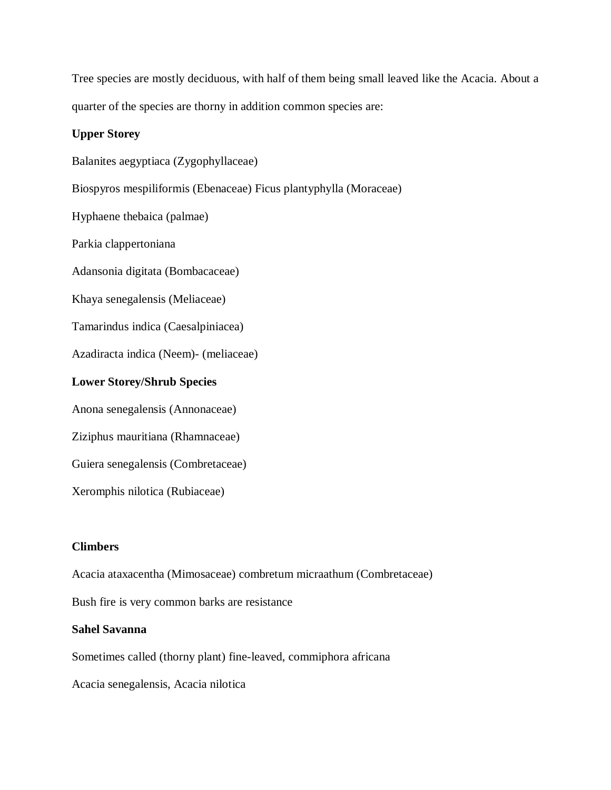Tree species are mostly deciduous, with half of them being small leaved like the Acacia. About a quarter of the species are thorny in addition common species are:

## **Upper Storey**

Balanites aegyptiaca (Zygophyllaceae)

Biospyros mespiliformis (Ebenaceae) Ficus plantyphylla (Moraceae)

Hyphaene thebaica (palmae)

Parkia clappertoniana

Adansonia digitata (Bombacaceae)

Khaya senegalensis (Meliaceae)

Tamarindus indica (Caesalpiniacea)

Azadiracta indica (Neem)- (meliaceae)

#### **Lower Storey/Shrub Species**

Anona senegalensis (Annonaceae)

Ziziphus mauritiana (Rhamnaceae)

Guiera senegalensis (Combretaceae)

Xeromphis nilotica (Rubiaceae)

## **Climbers**

Acacia ataxacentha (Mimosaceae) combretum micraathum (Combretaceae)

Bush fire is very common barks are resistance

#### **Sahel Savanna**

Sometimes called (thorny plant) fine-leaved, commiphora africana

Acacia senegalensis, Acacia nilotica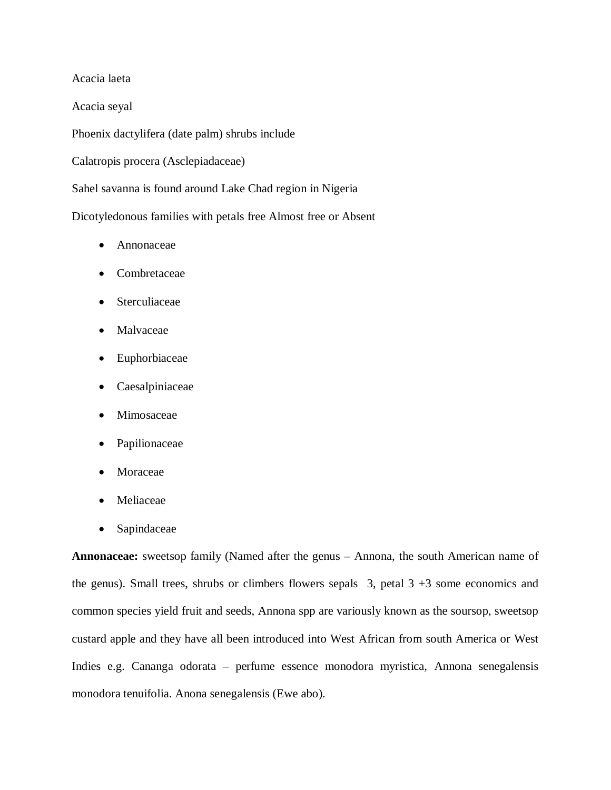Acacia laeta

Acacia seyal

Phoenix dactylifera (date palm) shrubs include

Calatropis procera (Asclepiadaceae)

Sahel savanna is found around Lake Chad region in Nigeria

Dicotyledonous families with petals free Almost free or Absent

- Annonaceae
- Combretaceae
- Sterculiaceae
- Malvaceae
- Euphorbiaceae
- Caesalpiniaceae
- Mimosaceae
- Papilionaceae
- Moraceae
- Meliaceae
- Sapindaceae

**Annonaceae:** sweetsop family (Named after the genus – Annona, the south American name of the genus). Small trees, shrubs or climbers flowers sepals  $3$ , petal  $3 + 3$  some economics and common species yield fruit and seeds, Annona spp are variously known as the soursop, sweetsop custard apple and they have all been introduced into West African from south America or West Indies e.g. Cananga odorata – perfume essence monodora myristica, Annona senegalensis monodora tenuifolia. Anona senegalensis (Ewe abo).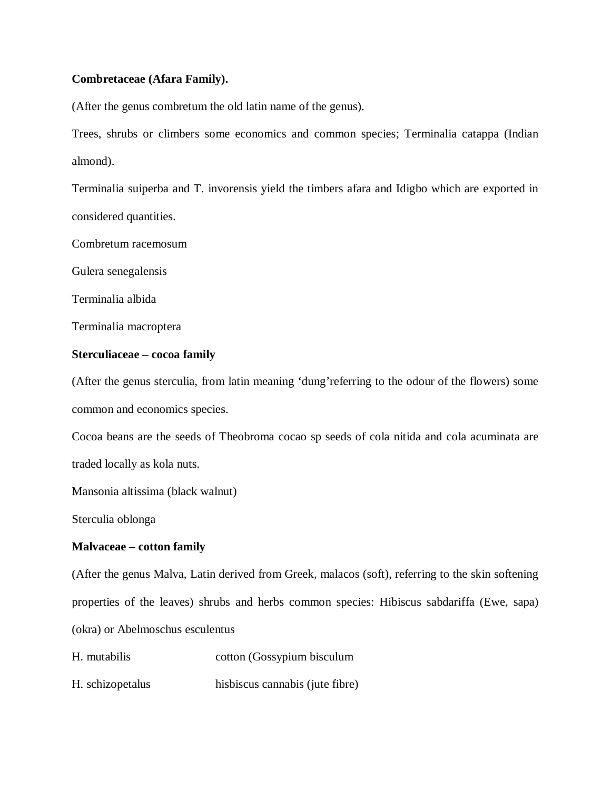## **Combretaceae (Afara Family).**

(After the genus combretum the old latin name of the genus).

Trees, shrubs or climbers some economics and common species; Terminalia catappa (Indian almond).

Terminalia suiperba and T. invorensis yield the timbers afara and Idigbo which are exported in considered quantities.

Combretum racemosum

Gulera senegalensis

Terminalia albida

Terminalia macroptera

#### **Sterculiaceae – cocoa family**

(After the genus sterculia, from latin meaning 'dung'referring to the odour of the flowers) some common and economics species.

Cocoa beans are the seeds of Theobroma cocao sp seeds of cola nitida and cola acuminata are traded locally as kola nuts.

Mansonia altissima (black walnut)

Sterculia oblonga

#### **Malvaceae – cotton family**

(After the genus Malva, Latin derived from Greek, malacos (soft), referring to the skin softening properties of the leaves) shrubs and herbs common species: Hibiscus sabdariffa (Ewe, sapa) (okra) or Abelmoschus esculentus

H. mutabilis cotton (Gossypium bisculum

H. schizopetalus hisbiscus cannabis (jute fibre)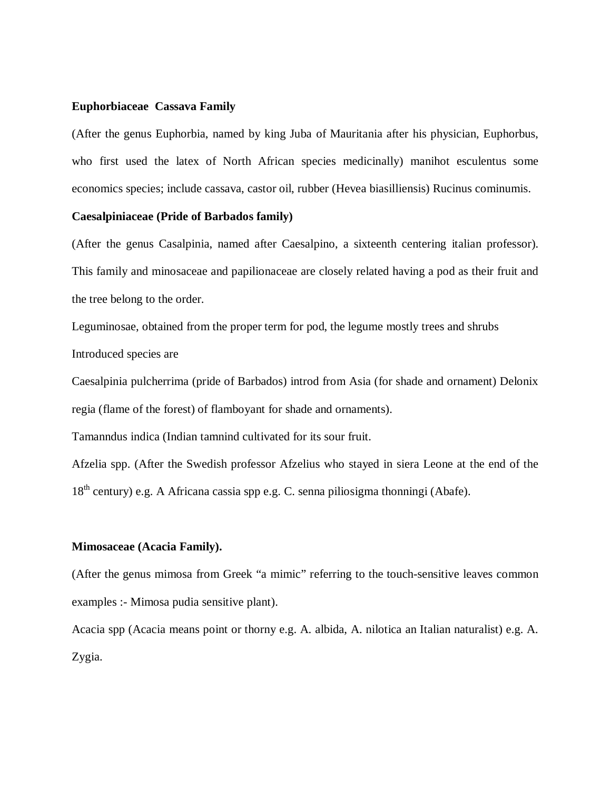#### **Euphorbiaceae Cassava Family**

(After the genus Euphorbia, named by king Juba of Mauritania after his physician, Euphorbus, who first used the latex of North African species medicinally) manihot esculentus some economics species; include cassava, castor oil, rubber (Hevea biasilliensis) Rucinus cominumis.

#### **Caesalpiniaceae (Pride of Barbados family)**

(After the genus Casalpinia, named after Caesalpino, a sixteenth centering italian professor). This family and minosaceae and papilionaceae are closely related having a pod as their fruit and the tree belong to the order.

Leguminosae, obtained from the proper term for pod, the legume mostly trees and shrubs Introduced species are

Caesalpinia pulcherrima (pride of Barbados) introd from Asia (for shade and ornament) Delonix regia (flame of the forest) of flamboyant for shade and ornaments).

Tamanndus indica (Indian tamnind cultivated for its sour fruit.

Afzelia spp. (After the Swedish professor Afzelius who stayed in siera Leone at the end of the 18<sup>th</sup> century) e.g. A Africana cassia spp e.g. C. senna piliosigma thonningi (Abafe).

#### **Mimosaceae (Acacia Family).**

(After the genus mimosa from Greek "a mimic" referring to the touch-sensitive leaves common examples :- Mimosa pudia sensitive plant).

Acacia spp (Acacia means point or thorny e.g. A. albida, A. nilotica an Italian naturalist) e.g. A. Zygia.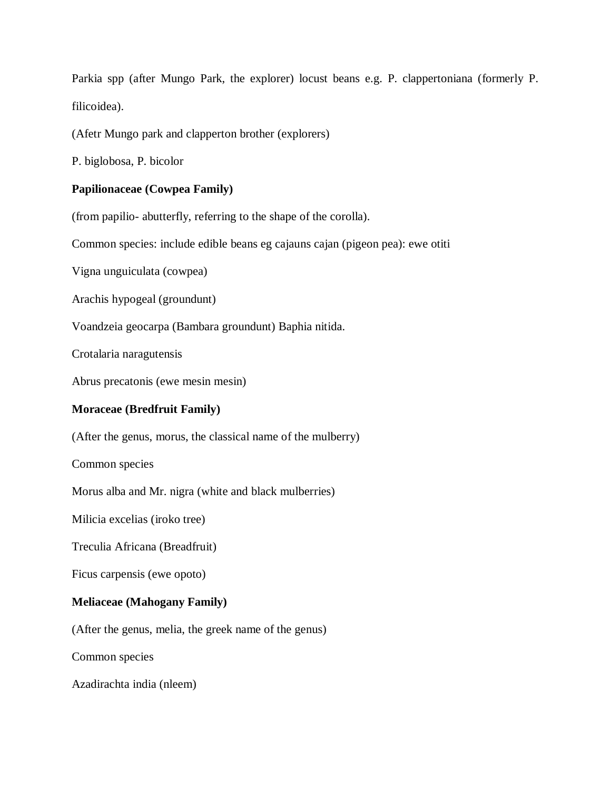Parkia spp (after Mungo Park, the explorer) locust beans e.g. P. clappertoniana (formerly P. filicoidea).

(Afetr Mungo park and clapperton brother (explorers)

P. biglobosa, P. bicolor

## **Papilionaceae (Cowpea Family)**

(from papilio- abutterfly, referring to the shape of the corolla).

Common species: include edible beans eg cajauns cajan (pigeon pea): ewe otiti

Vigna unguiculata (cowpea)

Arachis hypogeal (groundunt)

Voandzeia geocarpa (Bambara groundunt) Baphia nitida.

Crotalaria naragutensis

Abrus precatonis (ewe mesin mesin)

## **Moraceae (Bredfruit Family)**

(After the genus, morus, the classical name of the mulberry)

Common species

Morus alba and Mr. nigra (white and black mulberries)

Milicia excelias (iroko tree)

Treculia Africana (Breadfruit)

Ficus carpensis (ewe opoto)

## **Meliaceae (Mahogany Family)**

(After the genus, melia, the greek name of the genus)

Common species

Azadirachta india (nleem)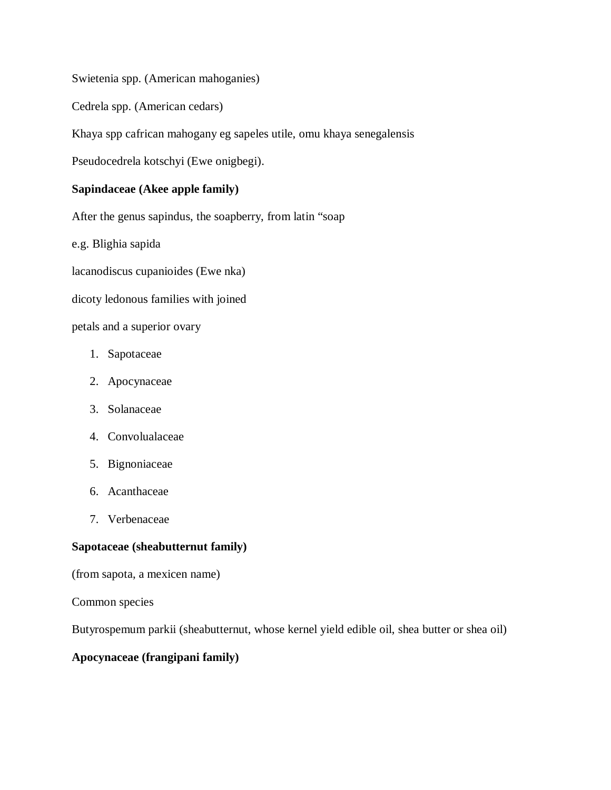Swietenia spp. (American mahoganies)

Cedrela spp. (American cedars)

Khaya spp cafrican mahogany eg sapeles utile, omu khaya senegalensis

Pseudocedrela kotschyi (Ewe onigbegi).

## **Sapindaceae (Akee apple family)**

After the genus sapindus, the soapberry, from latin "soap

e.g. Blighia sapida

lacanodiscus cupanioides (Ewe nka)

dicoty ledonous families with joined

petals and a superior ovary

- 1. Sapotaceae
- 2. Apocynaceae
- 3. Solanaceae
- 4. Convolualaceae
- 5. Bignoniaceae
- 6. Acanthaceae
- 7. Verbenaceae

## **Sapotaceae (sheabutternut family)**

(from sapota, a mexicen name)

Common species

Butyrospemum parkii (sheabutternut, whose kernel yield edible oil, shea butter or shea oil)

## **Apocynaceae (frangipani family)**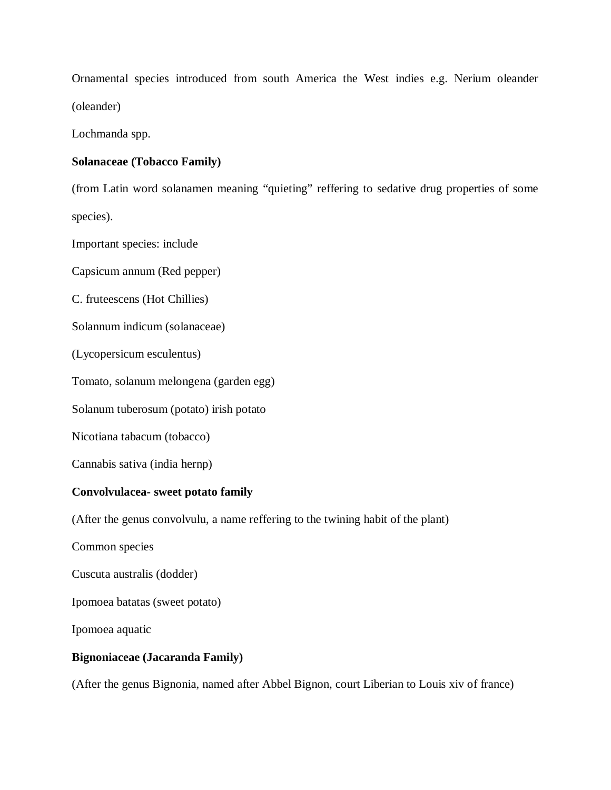Ornamental species introduced from south America the West indies e.g. Nerium oleander (oleander)

Lochmanda spp.

## **Solanaceae (Tobacco Family)**

(from Latin word solanamen meaning "quieting" reffering to sedative drug properties of some species).

Important species: include

Capsicum annum (Red pepper)

C. fruteescens (Hot Chillies)

Solannum indicum (solanaceae)

(Lycopersicum esculentus)

Tomato, solanum melongena (garden egg)

Solanum tuberosum (potato) irish potato

Nicotiana tabacum (tobacco)

Cannabis sativa (india hernp)

## **Convolvulacea- sweet potato family**

(After the genus convolvulu, a name reffering to the twining habit of the plant)

Common species

Cuscuta australis (dodder)

Ipomoea batatas (sweet potato)

Ipomoea aquatic

## **Bignoniaceae (Jacaranda Family)**

(After the genus Bignonia, named after Abbel Bignon, court Liberian to Louis xiv of france)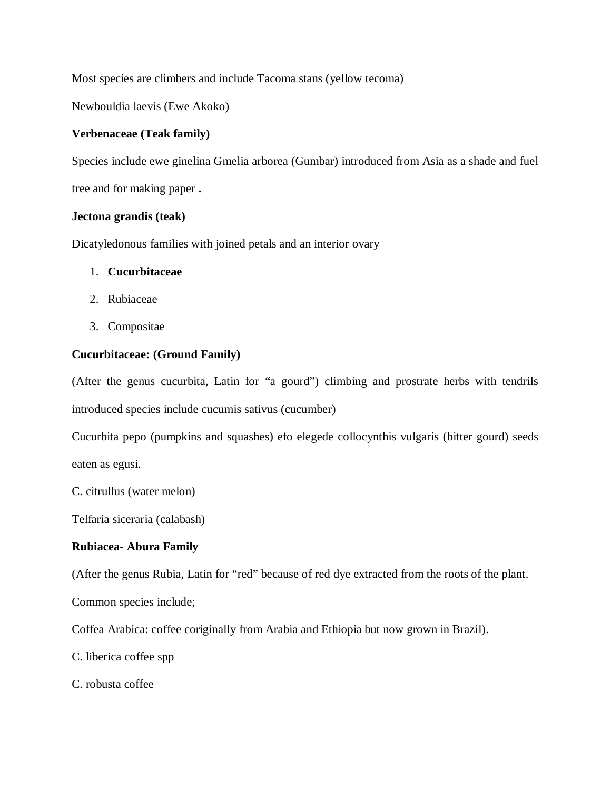Most species are climbers and include Tacoma stans (yellow tecoma)

Newbouldia laevis (Ewe Akoko)

## **Verbenaceae (Teak family)**

Species include ewe ginelina Gmelia arborea (Gumbar) introduced from Asia as a shade and fuel

tree and for making paper **.**

## **Jectona grandis (teak)**

Dicatyledonous families with joined petals and an interior ovary

## 1. **Cucurbitaceae**

- 2. Rubiaceae
- 3. Compositae

## **Cucurbitaceae: (Ground Family)**

(After the genus cucurbita, Latin for "a gourd") climbing and prostrate herbs with tendrils introduced species include cucumis sativus (cucumber)

Cucurbita pepo (pumpkins and squashes) efo elegede collocynthis vulgaris (bitter gourd) seeds eaten as egusi.

C. citrullus (water melon)

Telfaria siceraria (calabash)

## **Rubiacea- Abura Family**

(After the genus Rubia, Latin for "red" because of red dye extracted from the roots of the plant.

Common species include;

Coffea Arabica: coffee coriginally from Arabia and Ethiopia but now grown in Brazil).

C. liberica coffee spp

C. robusta coffee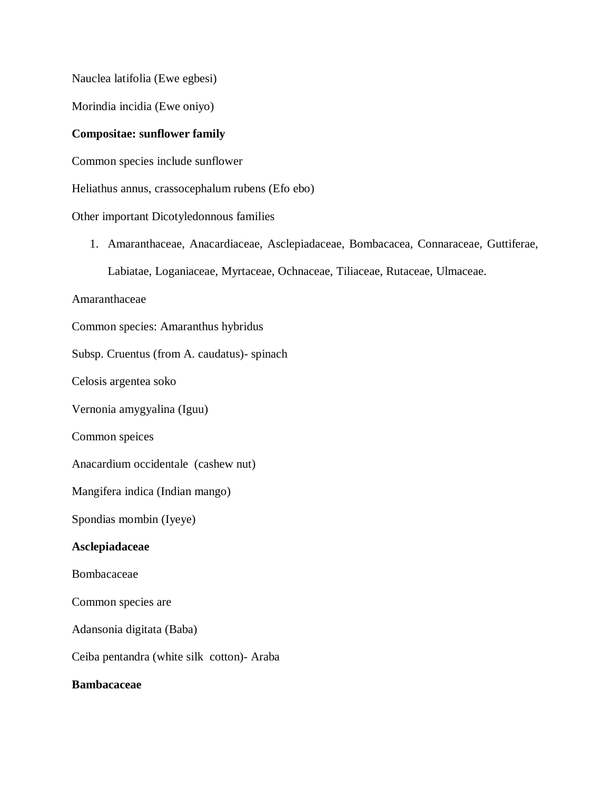Nauclea latifolia (Ewe egbesi)

Morindia incidia (Ewe oniyo)

#### **Compositae: sunflower family**

Common species include sunflower

Heliathus annus, crassocephalum rubens (Efo ebo)

Other important Dicotyledonnous families

1. Amaranthaceae, Anacardiaceae, Asclepiadaceae, Bombacacea, Connaraceae, Guttiferae, Labiatae, Loganiaceae, Myrtaceae, Ochnaceae, Tiliaceae, Rutaceae, Ulmaceae.

Amaranthaceae

Common species: Amaranthus hybridus

Subsp. Cruentus (from A. caudatus)- spinach

Celosis argentea soko

Vernonia amygyalina (Iguu)

Common speices

Anacardium occidentale (cashew nut)

Mangifera indica (Indian mango)

Spondias mombin (Iyeye)

#### **Asclepiadaceae**

Bombacaceae

Common species are

Adansonia digitata (Baba)

Ceiba pentandra (white silk cotton)- Araba

#### **Bambacaceae**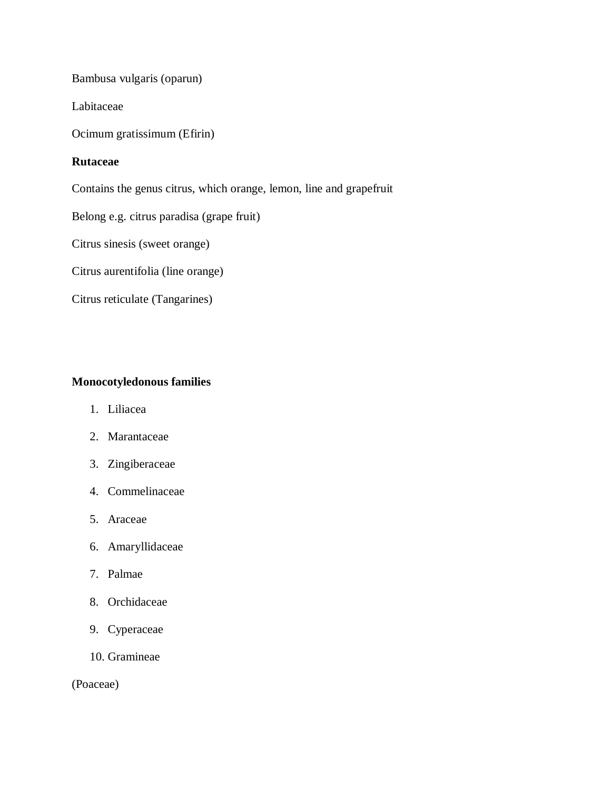Bambusa vulgaris (oparun)

Labitaceae

Ocimum gratissimum (Efirin)

#### **Rutaceae**

Contains the genus citrus, which orange, lemon, line and grapefruit

Belong e.g. citrus paradisa (grape fruit)

Citrus sinesis (sweet orange)

Citrus aurentifolia (line orange)

Citrus reticulate (Tangarines)

## **Monocotyledonous families**

- 1. Liliacea
- 2. Marantaceae
- 3. Zingiberaceae
- 4. Commelinaceae
- 5. Araceae
- 6. Amaryllidaceae
- 7. Palmae
- 8. Orchidaceae
- 9. Cyperaceae
- 10. Gramineae

(Poaceae)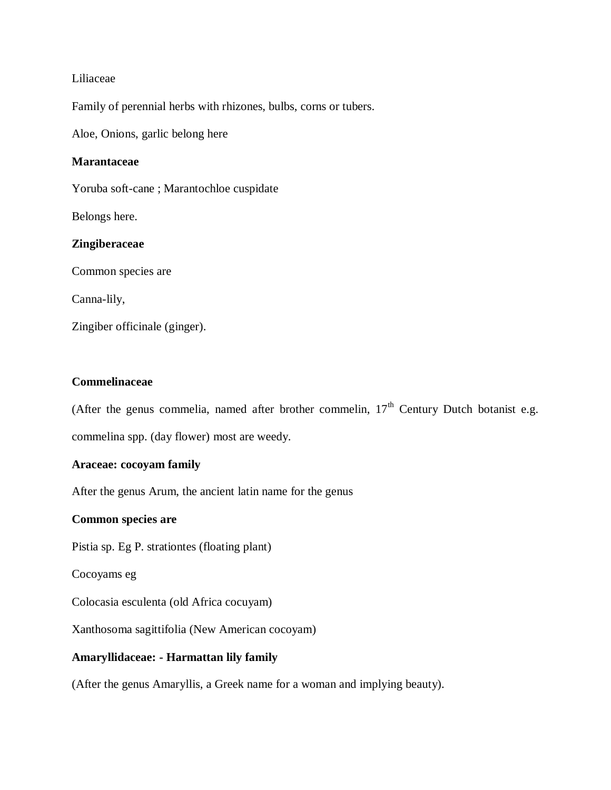#### Liliaceae

Family of perennial herbs with rhizones, bulbs, corns or tubers.

Aloe, Onions, garlic belong here

#### **Marantaceae**

Yoruba soft-cane ; Marantochloe cuspidate

Belongs here.

#### **Zingiberaceae**

Common species are

Canna-lily,

Zingiber officinale (ginger).

#### **Commelinaceae**

(After the genus commelia, named after brother commelin,  $17<sup>th</sup>$  Century Dutch botanist e.g. commelina spp. (day flower) most are weedy.

#### **Araceae: cocoyam family**

After the genus Arum, the ancient latin name for the genus

#### **Common species are**

Pistia sp. Eg P. strationtes (floating plant)

Cocoyams eg

Colocasia esculenta (old Africa cocuyam)

Xanthosoma sagittifolia (New American cocoyam)

#### **Amaryllidaceae: - Harmattan lily family**

(After the genus Amaryllis, a Greek name for a woman and implying beauty).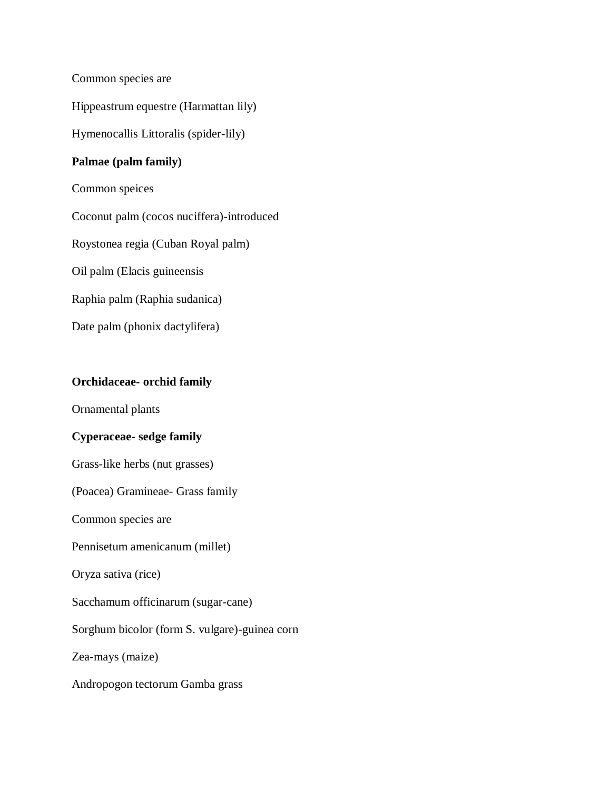Common species are

Hippeastrum equestre (Harmattan lily)

Hymenocallis Littoralis (spider-lily)

## **Palmae (palm family)**

Common speices

Coconut palm (cocos nuciffera)-introduced

Roystonea regia (Cuban Royal palm)

Oil palm (Elacis guineensis

Raphia palm (Raphia sudanica)

Date palm (phonix dactylifera)

## **Orchidaceae- orchid family**

Ornamental plants

## **Cyperaceae- sedge family**

Grass-like herbs (nut grasses)

(Poacea) Gramineae- Grass family

Common species are

Pennisetum amenicanum (millet)

Oryza sativa (rice)

Sacchamum officinarum (sugar-cane)

Sorghum bicolor (form S. vulgare)-guinea corn

Zea-mays (maize)

Andropogon tectorum Gamba grass